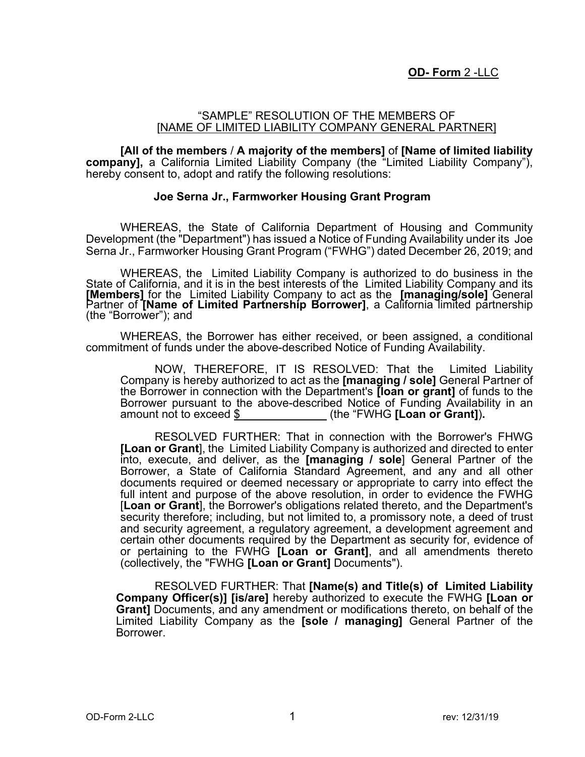## "SAMPLE" RESOLUTION OF THE MEMBERS OF [NAME OF LIMITED LIABILITY COMPANY GENERAL PARTNER]

**[All of the members** / **A majority of the members]** of **[Name of limited liability company],** a California Limited Liability Company (the "Limited Liability Company"), hereby consent to, adopt and ratify the following resolutions:

## **Joe Serna Jr., Farmworker Housing Grant Program**

WHEREAS, the State of California Department of Housing and Community Development (the "Department") has issued a Notice of Funding Availability under its Joe Serna Jr., Farmworker Housing Grant Program ("FWHG") dated December 26, 2019; and

WHEREAS, the Limited Liability Company is authorized to do business in the State of California, and it is in the best interests of the Limited Liability Company and its **[Members]** for the Limited Liability Company to act as the **[managing/sole]** General Partner of **[Name of Limited Partnership Borrower]**, a California limited partnership (the "Borrower"); and

WHEREAS, the Borrower has either received, or been assigned, a conditional commitment of funds under the above-described Notice of Funding Availability.

NOW, THEREFORE, IT IS RESOLVED: That the Limited Liability Company is hereby authorized to act as the **[managing / sole]** General Partner of the Borrower in connection with the Department's **[loan or grant]** of funds to the Borrower pursuant to the above-described Notice of Funding Availability in an amount not to exceed \$ (the "FWHG **[Loan or Grant]**)**.**

RESOLVED FURTHER: That in connection with the Borrower's FHWG **[Loan or Grant**], the Limited Liability Company is authorized and directed to enter into, execute, and deliver, as the **[managing / sole**] General Partner of the Borrower, a State of California Standard Agreement, and any and all other documents required or deemed necessary or appropriate to carry into effect the full intent and purpose of the above resolution, in order to evidence the FWHG [**Loan or Grant**], the Borrower's obligations related thereto, and the Department's security therefore; including, but not limited to, a promissory note, a deed of trust and security agreement, a regulatory agreement, a development agreement and certain other documents required by the Department as security for, evidence of or pertaining to the FWHG **[Loan or Grant]**, and all amendments thereto (collectively, the "FWHG **[Loan or Grant]** Documents").

RESOLVED FURTHER: That **[Name(s) and Title(s) of Limited Liability Company Officer(s)] [is/are]** hereby authorized to execute the FWHG **[Loan or Grant]** Documents, and any amendment or modifications thereto, on behalf of the Limited Liability Company as the **[sole / managing]** General Partner of the Borrower.